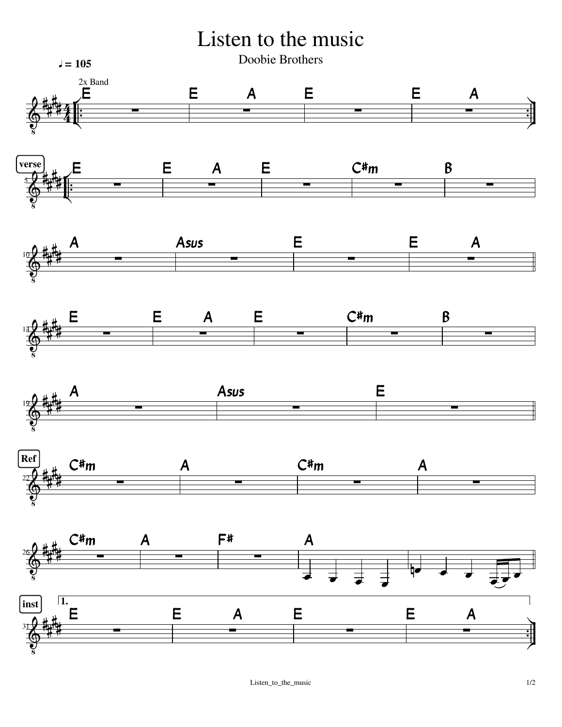